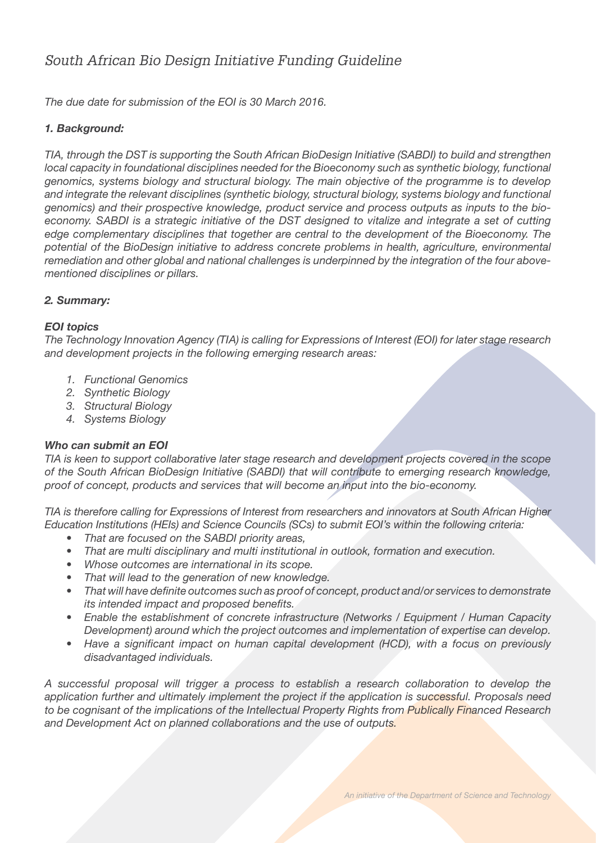# *South African Bio Design Initiative Funding Guideline*

*The due date for submission of the EOI is 30 March 2016.* 

# *1. Background:*

*TIA, through the DST is supporting the South African BioDesign Initiative (SABDI) to build and strengthen local capacity in foundational disciplines needed for the Bioeconomy such as synthetic biology, functional genomics, systems biology and structural biology. The main objective of the programme is to develop and integrate the relevant disciplines (synthetic biology, structural biology, systems biology and functional genomics) and their prospective knowledge, product service and process outputs as inputs to the bioeconomy. SABDI is a strategic initiative of the DST designed to vitalize and integrate a set of cutting edge complementary disciplines that together are central to the development of the Bioeconomy. The potential of the BioDesign initiative to address concrete problems in health, agriculture, environmental remediation and other global and national challenges is underpinned by the integration of the four abovementioned disciplines or pillars.* 

## *2. Summary:*

## *EOI topics*

*The Technology Innovation Agency (TIA) is calling for Expressions of Interest (EOI) for later stage research and development projects in the following emerging research areas:*

- *1. Functional Genomics*
- *2. Synthetic Biology*
- *3. Structural Biology*
- *4. Systems Biology*

## *Who can submit an EOI*

*TIA is keen to support collaborative later stage research and development projects covered in the scope of the South African BioDesign Initiative (SABDI) that will contribute to emerging research knowledge, proof of concept, products and services that will become an input into the bio-economy.*

*TIA is therefore calling for Expressions of Interest from researchers and innovators at South African Higher Education Institutions (HEIs) and Science Councils (SCs) to submit EOI's within the following criteria:*

- *• That are focused on the SABDI priority areas,*
- That are multi disciplinary and multi institutional in outlook, formation and execution.
- *• Whose outcomes are international in its scope.*
- *That will lead to the generation of new knowledge.*
- *• That will have definite outcomes such as proof of concept, product and/or services to demonstrate its intended impact and proposed benefits.*
- *• Enable the establishment of concrete infrastructure (Networks / Equipment / Human Capacity Development) around which the project outcomes and implementation of expertise can develop.*
- *• Have a significant impact on human capital development (HCD), with a focus on previously disadvantaged individuals.*

*A successful proposal will trigger a process to establish a research collaboration to develop the application further and ultimately implement the project if the application is successful. Proposals need to be cognisant of the implications of the Intellectual Property Rights from Publically Financed Research and Development Act on planned collaborations and the use of outputs.*